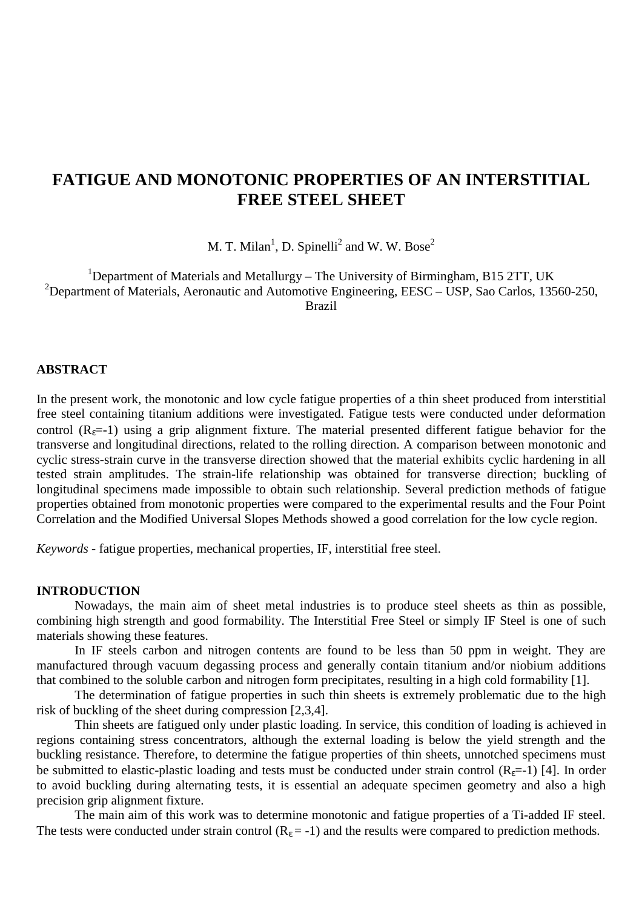# **FATIGUE AND MONOTONIC PROPERTIES OF AN INTERSTITIAL FREE STEEL SHEET**

M. T. Milan<sup>1</sup>, D. Spinelli<sup>2</sup> and W. W. Bose<sup>2</sup>

<sup>1</sup>Department of Materials and Metallurgy - The University of Birmingham, B15 2TT, UK <sup>2</sup>Department of Materials, Aeronautic and Automotive Engineering, EESC – USP, Sao Carlos, 13560-250, Brazil

#### **ABSTRACT**

In the present work, the monotonic and low cycle fatigue properties of a thin sheet produced from interstitial free steel containing titanium additions were investigated. Fatigue tests were conducted under deformation control  $(R<sub>ε</sub>=-1)$  using a grip alignment fixture. The material presented different fatigue behavior for the transverse and longitudinal directions, related to the rolling direction. A comparison between monotonic and cyclic stress-strain curve in the transverse direction showed that the material exhibits cyclic hardening in all tested strain amplitudes. The strain-life relationship was obtained for transverse direction; buckling of longitudinal specimens made impossible to obtain such relationship. Several prediction methods of fatigue properties obtained from monotonic properties were compared to the experimental results and the Four Point Correlation and the Modified Universal Slopes Methods showed a good correlation for the low cycle region.

*Keywords* - fatigue properties, mechanical properties, IF, interstitial free steel.

#### **INTRODUCTION**

Nowadays, the main aim of sheet metal industries is to produce steel sheets as thin as possible, combining high strength and good formability. The Interstitial Free Steel or simply IF Steel is one of such materials showing these features.

In IF steels carbon and nitrogen contents are found to be less than 50 ppm in weight. They are manufactured through vacuum degassing process and generally contain titanium and/or niobium additions that combined to the soluble carbon and nitrogen form precipitates, resulting in a high cold formability [1].

The determination of fatigue properties in such thin sheets is extremely problematic due to the high risk of buckling of the sheet during compression [2,3,4].

Thin sheets are fatigued only under plastic loading. In service, this condition of loading is achieved in regions containing stress concentrators, although the external loading is below the yield strength and the buckling resistance. Therefore, to determine the fatigue properties of thin sheets, unnotched specimens must be submitted to elastic-plastic loading and tests must be conducted under strain control  $(R<sub>e</sub>=-1)$  [4]. In order to avoid buckling during alternating tests, it is essential an adequate specimen geometry and also a high precision grip alignment fixture.

The main aim of this work was to determine monotonic and fatigue properties of a Ti-added IF steel. The tests were conducted under strain control  $(R<sub>ε</sub>=-1)$  and the results were compared to prediction methods.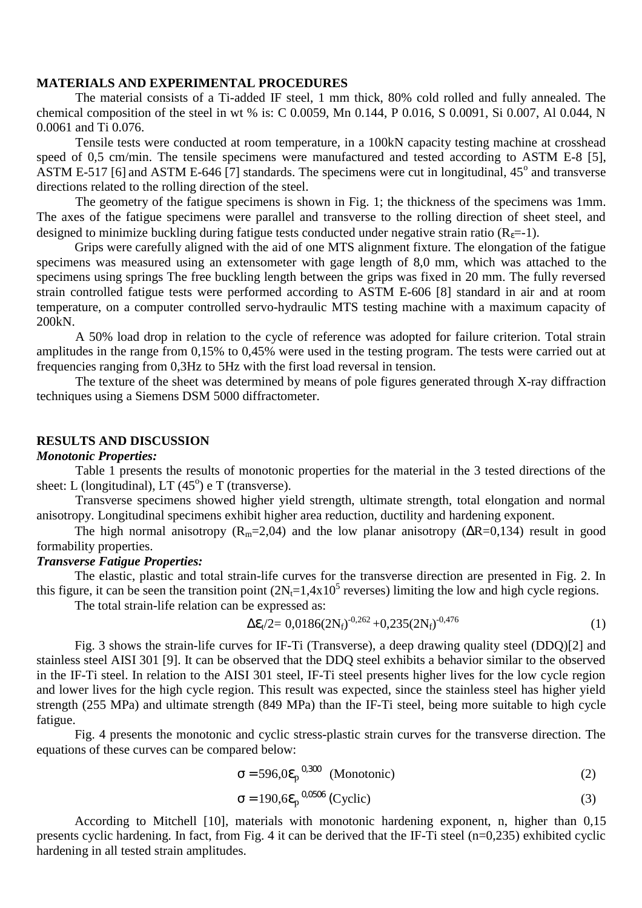## **MATERIALS AND EXPERIMENTAL PROCEDURES**

The material consists of a Ti-added IF steel, 1 mm thick, 80% cold rolled and fully annealed. The chemical composition of the steel in wt % is: C 0.0059, Mn 0.144, P 0.016, S 0.0091, Si 0.007, Al 0.044, N 0.0061 and Ti 0.076.

Tensile tests were conducted at room temperature, in a 100kN capacity testing machine at crosshead speed of 0,5 cm/min. The tensile specimens were manufactured and tested according to ASTM E-8 [5], ASTM E-517 [6] and ASTM E-646 [7] standards. The specimens were cut in longitudinal,  $45^{\circ}$  and transverse directions related to the rolling direction of the steel.

The geometry of the fatigue specimens is shown in Fig. 1; the thickness of the specimens was 1mm. The axes of the fatigue specimens were parallel and transverse to the rolling direction of sheet steel, and designed to minimize buckling during fatigue tests conducted under negative strain ratio  $(R<sub>s</sub>=-1)$ .

Grips were carefully aligned with the aid of one MTS alignment fixture. The elongation of the fatigue specimens was measured using an extensometer with gage length of 8,0 mm, which was attached to the specimens using springs The free buckling length between the grips was fixed in 20 mm. The fully reversed strain controlled fatigue tests were performed according to ASTM E-606 [8] standard in air and at room temperature, on a computer controlled servo-hydraulic MTS testing machine with a maximum capacity of 200kN.

A 50% load drop in relation to the cycle of reference was adopted for failure criterion. Total strain amplitudes in the range from 0,15% to 0,45% were used in the testing program. The tests were carried out at frequencies ranging from 0,3Hz to 5Hz with the first load reversal in tension.

The texture of the sheet was determined by means of pole figures generated through X-ray diffraction techniques using a Siemens DSM 5000 diffractometer.

#### **RESULTS AND DISCUSSION**

#### *Monotonic Properties:*

Table 1 presents the results of monotonic properties for the material in the 3 tested directions of the sheet: L (longitudinal), LT  $(45^{\circ})$  e T (transverse).

Transverse specimens showed higher yield strength, ultimate strength, total elongation and normal anisotropy. Longitudinal specimens exhibit higher area reduction, ductility and hardening exponent.

The high normal anisotropy ( $R_m$ =2,04) and the low planar anisotropy ( $\Delta R$ =0,134) result in good formability properties.

#### *Transverse Fatigue Properties:*

The elastic, plastic and total strain-life curves for the transverse direction are presented in Fig. 2. In this figure, it can be seen the transition point  $(2N_t=1,4\times10^5$  reverses) limiting the low and high cycle regions.

The total strain-life relation can be expressed as:

$$
\Delta \varepsilon_{t} / 2 = 0.0186 (2N_{f})^{-0.262} + 0.235 (2N_{f})^{-0.476}
$$
 (1)

Fig. 3 shows the strain-life curves for IF-Ti (Transverse), a deep drawing quality steel (DDQ)[2] and stainless steel AISI 301 [9]. It can be observed that the DDQ steel exhibits a behavior similar to the observed in the IF-Ti steel. In relation to the AISI 301 steel, IF-Ti steel presents higher lives for the low cycle region and lower lives for the high cycle region. This result was expected, since the stainless steel has higher yield strength (255 MPa) and ultimate strength (849 MPa) than the IF-Ti steel, being more suitable to high cycle fatigue.

Fig. 4 presents the monotonic and cyclic stress-plastic strain curves for the transverse direction. The equations of these curves can be compared below:

$$
\sigma = 596.0 \varepsilon_p^{0.300} \quad \text{(Monotonic)} \tag{2}
$$

$$
\sigma = 190,6 \varepsilon_p^{0,0506} \text{ (Cyclic)} \tag{3}
$$

According to Mitchell [10], materials with monotonic hardening exponent, n, higher than 0,15 presents cyclic hardening. In fact, from Fig. 4 it can be derived that the IF-Ti steel (n=0,235) exhibited cyclic hardening in all tested strain amplitudes.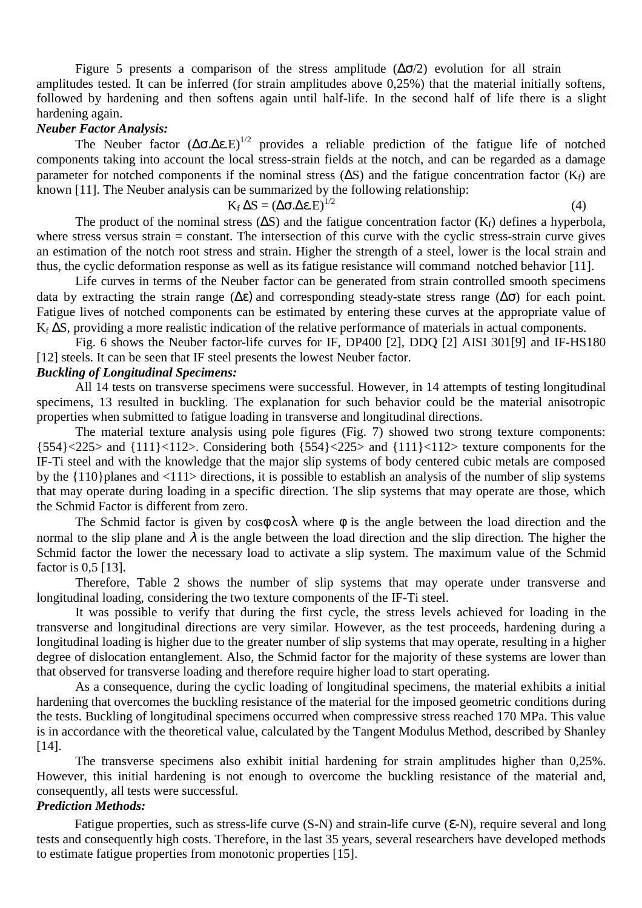Figure 5 presents a comparison of the stress amplitude  $(\Delta \sigma/2)$  evolution for all strain amplitudes tested. It can be inferred (for strain amplitudes above 0,25%) that the material initially softens, followed by hardening and then softens again until half-life. In the second half of life there is a slight hardening again.

#### *Neuber Factor Analysis:*

The Neuber factor  $(Δσ.Δε.E)<sup>1/2</sup>$  provides a reliable prediction of the fatigue life of notched components taking into account the local stress-strain fields at the notch, and can be regarded as a damage parameter for notched components if the nominal stress ( $\Delta S$ ) and the fatigue concentration factor (K<sub>f</sub>) are known [11]. The Neuber analysis can be summarized by the following relationship:

$$
K_f \Delta S = (\Delta \sigma \Delta \epsilon . E)^{1/2} \tag{4}
$$

The product of the nominal stress  $(\Delta S)$  and the fatigue concentration factor  $(K_f)$  defines a hyperbola, where stress versus strain = constant. The intersection of this curve with the cyclic stress-strain curve gives an estimation of the notch root stress and strain. Higher the strength of a steel, lower is the local strain and thus, the cyclic deformation response as well as its fatigue resistance will command notched behavior [11].

Life curves in terms of the Neuber factor can be generated from strain controlled smooth specimens data by extracting the strain range ( $\Delta \varepsilon$ ) and corresponding steady-state stress range ( $\Delta \sigma$ ) for each point. Fatigue lives of notched components can be estimated by entering these curves at the appropriate value of K<sub>f</sub> ∆S, providing a more realistic indication of the relative performance of materials in actual components.

Fig. 6 shows the Neuber factor-life curves for IF, DP400 [2], DDQ [2] AISI 301[9] and IF-HS180 [12] steels. It can be seen that IF steel presents the lowest Neuber factor.

## *Buckling of Longitudinal Specimens:*

All 14 tests on transverse specimens were successful. However, in 14 attempts of testing longitudinal specimens, 13 resulted in buckling. The explanation for such behavior could be the material anisotropic properties when submitted to fatigue loading in transverse and longitudinal directions.

The material texture analysis using pole figures (Fig. 7) showed two strong texture components:  ${554}$  ${225>$  and  ${111}$  ${12>}$ . Considering both  ${554}$  ${225>}$  and  ${111}$  ${12>}$  texture components for the IF-Ti steel and with the knowledge that the major slip systems of body centered cubic metals are composed by the {110}planes and <111> directions, it is possible to establish an analysis of the number of slip systems that may operate during loading in a specific direction. The slip systems that may operate are those, which the Schmid Factor is different from zero.

The Schmid factor is given by  $\cos\phi \cos\lambda$  where  $\phi$  is the angle between the load direction and the normal to the slip plane and  $\lambda$  is the angle between the load direction and the slip direction. The higher the Schmid factor the lower the necessary load to activate a slip system. The maximum value of the Schmid factor is 0.5 [13].

Therefore, Table 2 shows the number of slip systems that may operate under transverse and longitudinal loading, considering the two texture components of the IF-Ti steel.

It was possible to verify that during the first cycle, the stress levels achieved for loading in the transverse and longitudinal directions are very similar. However, as the test proceeds, hardening during a longitudinal loading is higher due to the greater number of slip systems that may operate, resulting in a higher degree of dislocation entanglement. Also, the Schmid factor for the majority of these systems are lower than that observed for transverse loading and therefore require higher load to start operating.

As a consequence, during the cyclic loading of longitudinal specimens, the material exhibits a initial hardening that overcomes the buckling resistance of the material for the imposed geometric conditions during the tests. Buckling of longitudinal specimens occurred when compressive stress reached 170 MPa. This value is in accordance with the theoretical value, calculated by the Tangent Modulus Method, described by Shanley [14].

The transverse specimens also exhibit initial hardening for strain amplitudes higher than 0,25%. However, this initial hardening is not enough to overcome the buckling resistance of the material and, consequently, all tests were successful.

## *Prediction Methods:*

Fatigue properties, such as stress-life curve (S-N) and strain-life curve (ε-N), require several and long tests and consequently high costs. Therefore, in the last 35 years, several researchers have developed methods to estimate fatigue properties from monotonic properties [15].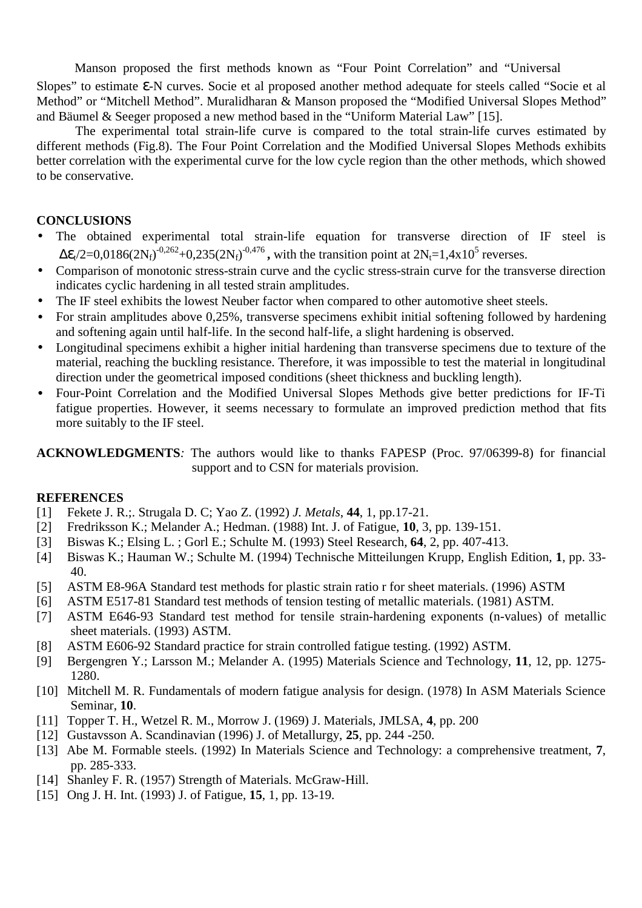Manson proposed the first methods known as "Four Point Correlation" and "Universal

Slopes" to estimate ε-N curves. Socie et al proposed another method adequate for steels called "Socie et al Method" or "Mitchell Method". Muralidharan & Manson proposed the "Modified Universal Slopes Method" and Bäumel & Seeger proposed a new method based in the "Uniform Material Law" [15].

The experimental total strain-life curve is compared to the total strain-life curves estimated by different methods (Fig.8). The Four Point Correlation and the Modified Universal Slopes Methods exhibits better correlation with the experimental curve for the low cycle region than the other methods, which showed to be conservative.

## **CONCLUSIONS**

- The obtained experimental total strain-life equation for transverse direction of IF steel is  $\Delta \mathcal{E}_t/2 = 0.0186(2N_f)^{-0.262} + 0.235(2N_f)^{-0.476}$ , with the transition point at  $2N_f=1.4 \times 10^5$  reverses.
- Comparison of monotonic stress-strain curve and the cyclic stress-strain curve for the transverse direction indicates cyclic hardening in all tested strain amplitudes.
- The IF steel exhibits the lowest Neuber factor when compared to other automotive sheet steels.
- For strain amplitudes above 0.25%, transverse specimens exhibit initial softening followed by hardening and softening again until half-life. In the second half-life, a slight hardening is observed.
- Longitudinal specimens exhibit a higher initial hardening than transverse specimens due to texture of the material, reaching the buckling resistance. Therefore, it was impossible to test the material in longitudinal direction under the geometrical imposed conditions (sheet thickness and buckling length).
- Four-Point Correlation and the Modified Universal Slopes Methods give better predictions for IF-Ti fatigue properties. However, it seems necessary to formulate an improved prediction method that fits more suitably to the IF steel.

**ACKNOWLEDGMENTS***:* The authors would like to thanks FAPESP (Proc. 97/06399-8) for financial support and to CSN for materials provision.

## **REFERENCES**

- [1] Fekete J. R.;. Strugala D. C; Yao Z. (1992) *J. Metals*, **44**, 1, pp.17-21.
- [2] Fredriksson K.; Melander A.; Hedman. (1988) Int. J. of Fatigue, **10**, 3, pp. 139-151.
- [3] Biswas K.; Elsing L. ; Gorl E.; Schulte M. (1993) Steel Research, **64**, 2, pp. 407-413.
- [4] Biswas K.; Hauman W.; Schulte M. (1994) Technische Mitteilungen Krupp, English Edition, **1**, pp. 33- 40.
- [5] ASTM E8-96A Standard test methods for plastic strain ratio r for sheet materials. (1996) ASTM
- [6] ASTM E517-81 Standard test methods of tension testing of metallic materials. (1981) ASTM.
- [7] ASTM E646-93 Standard test method for tensile strain-hardening exponents (n-values) of metallic sheet materials. (1993) ASTM.
- [8] ASTM E606-92 Standard practice for strain controlled fatigue testing. (1992) ASTM.
- [9] Bergengren Y.; Larsson M.; Melander A. (1995) Materials Science and Technology, **11**, 12, pp. 1275- 1280.
- [10] Mitchell M. R. Fundamentals of modern fatigue analysis for design. (1978) In ASM Materials Science Seminar, **10**.
- [11] Topper T. H., Wetzel R. M., Morrow J. (1969) J. Materials, JMLSA, **4**, pp. 200
- [12] Gustavsson A. Scandinavian (1996) J. of Metallurgy, **25**, pp. 244 -250.
- [13] Abe M. Formable steels. (1992) In Materials Science and Technology: a comprehensive treatment, **7**, pp. 285-333.
- [14] Shanley F. R. (1957) Strength of Materials. McGraw-Hill.
- [15] Ong J. H. Int. (1993) J. of Fatigue, **15**, 1, pp. 13-19.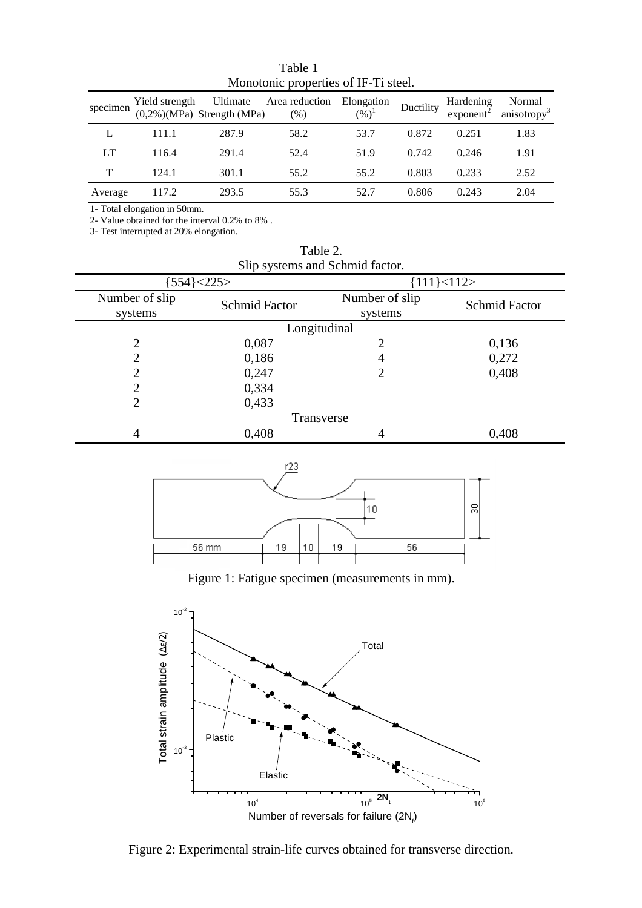| specimen | Yield strength | Ultimate<br>$(0,2\%)$ (MPa) Strength (MPa) | Area reduction<br>(% ) | Elongation<br>$(\%)^1$ | Ductility | Hardening<br>$exponent$ <sup>-</sup> | Normal<br>anisotropy <sup>3</sup> |
|----------|----------------|--------------------------------------------|------------------------|------------------------|-----------|--------------------------------------|-----------------------------------|
|          | 111.1          | 287.9                                      | 58.2                   | 53.7                   | 0.872     | 0.251                                | 1.83                              |
| LT       | 116.4          | 291.4                                      | 52.4                   | 51.9                   | 0.742     | 0.246                                | 1.91                              |
| T        | 124.1          | 301.1                                      | 55.2                   | 55.2                   | 0.803     | 0.233                                | 2.52                              |
| Average  | 117.2          | 293.5                                      | 55.3                   | 52.7                   | 0.806     | 0.243                                | 2.04                              |

Table 1 Monotonic properties of IF-Ti steel.

1- Total elongation in 50mm.

2- Value obtained for the interval 0.2% to 8% .

3- Test interrupted at 20% elongation.

| Slip systems and Schmid factor. |                      |                           |               |  |  |  |  |  |
|---------------------------------|----------------------|---------------------------|---------------|--|--|--|--|--|
|                                 | [554] < 225          | ${111}{\leq}112$          |               |  |  |  |  |  |
| Number of slip<br>systems       | <b>Schmid Factor</b> | Number of slip<br>systems | Schmid Factor |  |  |  |  |  |
| Longitudinal                    |                      |                           |               |  |  |  |  |  |
| $\overline{2}$                  | 0,087                | $\overline{2}$            | 0,136         |  |  |  |  |  |
| $\overline{2}$                  | 0,186                | 4                         | 0,272         |  |  |  |  |  |
| $\overline{2}$                  | 0,247                | $\overline{2}$            | 0,408         |  |  |  |  |  |
| 2                               | 0,334                |                           |               |  |  |  |  |  |
| $\overline{2}$                  | 0,433                |                           |               |  |  |  |  |  |
| Transverse                      |                      |                           |               |  |  |  |  |  |
| 4                               | 0,408                | 4                         | 0,408         |  |  |  |  |  |



Table 2.



Figure 1: Fatigue specimen (measurements in mm).



Figure 2: Experimental strain-life curves obtained for transverse direction.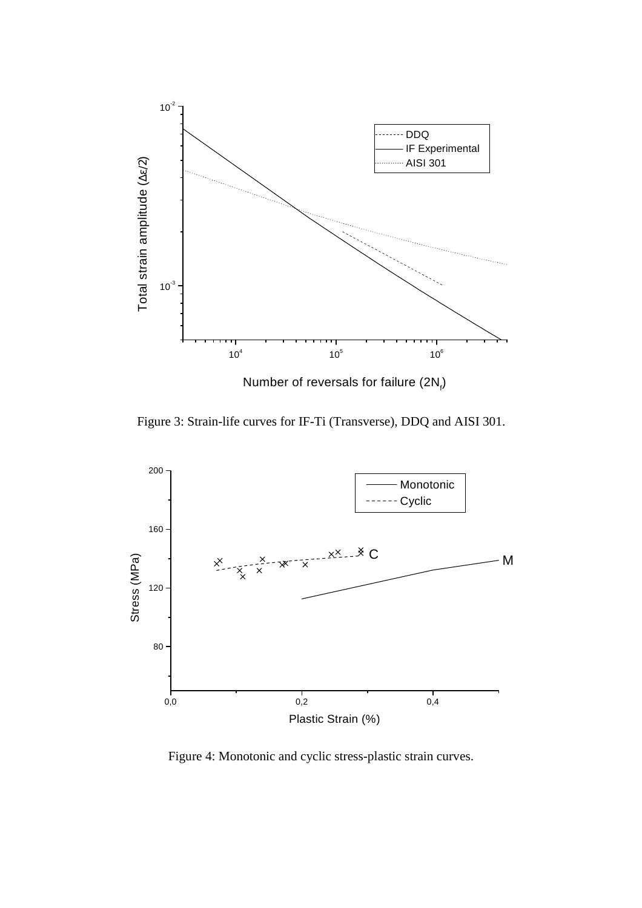

Number of reversals for failure (2N<sub>f</sub>)

Figure 3: Strain-life curves for IF-Ti (Transverse), DDQ and AISI 301.



Figure 4: Monotonic and cyclic stress-plastic strain curves.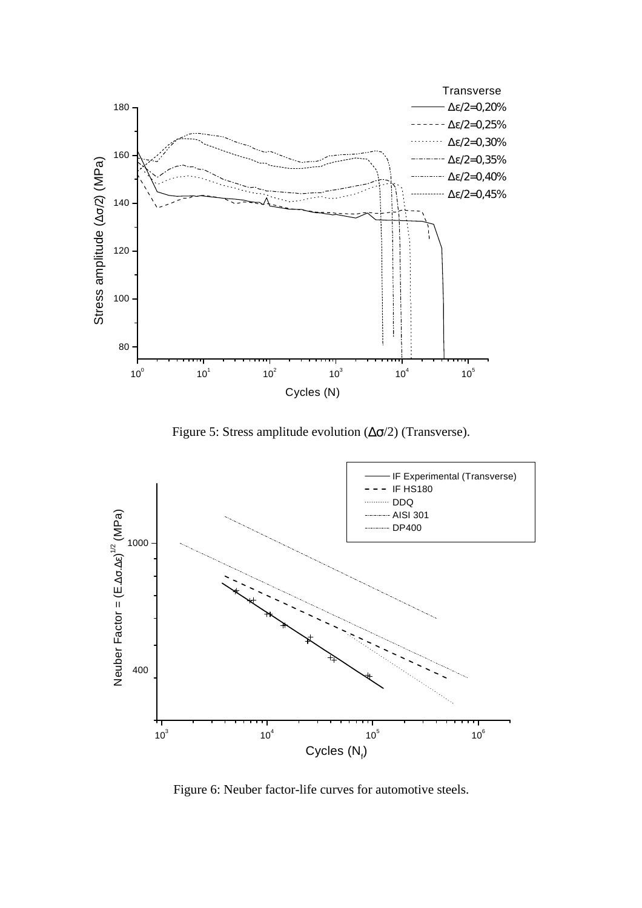

Figure 5: Stress amplitude evolution  $(\Delta \sigma/2)$  (Transverse).



Figure 6: Neuber factor-life curves for automotive steels.